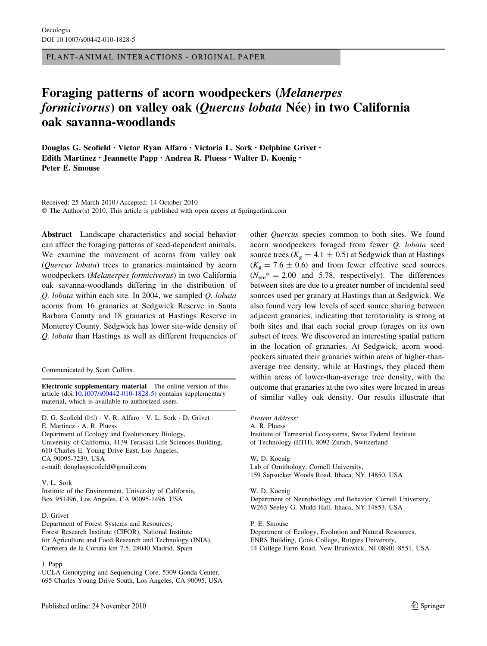PLANT-ANIMAL INTERACTIONS - ORIGINAL PAPER

# Foraging patterns of acorn woodpeckers (Melanerpes formicivorus) on valley oak (Quercus lobata Née) in two California oak savanna-woodlands

Douglas G. Scofield • Victor Ryan Alfaro • Victoria L. Sork • Delphine Grivet • Edith Martinez • Jeannette Papp • Andrea R. Pluess • Walter D. Koenig • Peter E. Smouse

Received: 25 March 2010 / Accepted: 14 October 2010 © The Author(s) 2010. This article is published with open access at Springerlink.com

Abstract Landscape characteristics and social behavior can affect the foraging patterns of seed-dependent animals. We examine the movement of acorns from valley oak (Quercus lobata) trees to granaries maintained by acorn woodpeckers (Melanerpes formicivorus) in two California oak savanna-woodlands differing in the distribution of Q. lobata within each site. In 2004, we sampled Q. lobata acorns from 16 granaries at Sedgwick Reserve in Santa Barbara County and 18 granaries at Hastings Reserve in Monterey County. Sedgwick has lower site-wide density of Q. lobata than Hastings as well as different frequencies of

Communicated by Scott Collins.

Electronic supplementary material The online version of this article  $(doi:10.1007/s00442-010-1828-5)$  $(doi:10.1007/s00442-010-1828-5)$  contains supplementary material, which is available to authorized users.

D. G. Scofield (⊠) · V. R. Alfaro · V. L. Sork · D. Grivet · E. Martinez - A. R. Pluess Department of Ecology and Evolutionary Biology, University of California, 4139 Terasaki Life Sciences Building, 610 Charles E. Young Drive East, Los Angeles, CA 90095-7239, USA e-mail: douglasgscofield@gmail.com

V. L. Sork

Institute of the Environment, University of California, Box 951496, Los Angeles, CA 90095-1496, USA

#### D. Grivet

Department of Forest Systems and Resources, Forest Research Institute (CIFOR), National Institute for Agriculture and Food Research and Technology (INIA), Carretera de la Coruña km 7.5, 28040 Madrid, Spain

#### J. Papp

UCLA Genotyping and Sequencing Core, 5309 Gonda Center, 695 Charles Young Drive South, Los Angeles, CA 90095, USA other Quercus species common to both sites. We found acorn woodpeckers foraged from fewer Q. lobata seed source trees ( $K_g = 4.1 \pm 0.5$ ) at Sedgwick than at Hastings  $(K<sub>g</sub> = 7.6 \pm 0.6)$  and from fewer effective seed sources  $(N_{\rm em}^* = 2.00$  and 5.78, respectively). The differences between sites are due to a greater number of incidental seed sources used per granary at Hastings than at Sedgwick. We also found very low levels of seed source sharing between adjacent granaries, indicating that territoriality is strong at both sites and that each social group forages on its own subset of trees. We discovered an interesting spatial pattern in the location of granaries. At Sedgwick, acorn woodpeckers situated their granaries within areas of higher-thanaverage tree density, while at Hastings, they placed them within areas of lower-than-average tree density, with the outcome that granaries at the two sites were located in areas of similar valley oak density. Our results illustrate that

Present Address:

A. R. Pluess Institute of Terrestrial Ecosystems, Swiss Federal Institute of Technology (ETH), 8092 Zurich, Switzerland

W. D. Koenig Lab of Ornithology, Cornell University, 159 Sapsucker Woods Road, Ithaca, NY 14850, USA

W. D. Koenig Department of Neurobiology and Behavior, Cornell University, W263 Seeley G. Mudd Hall, Ithaca, NY 14853, USA

P. E. Smouse Department of Ecology, Evolution and Natural Resources, ENRS Building, Cook College, Rutgers University, 14 College Farm Road, New Brunswick, NJ 08901-8551, USA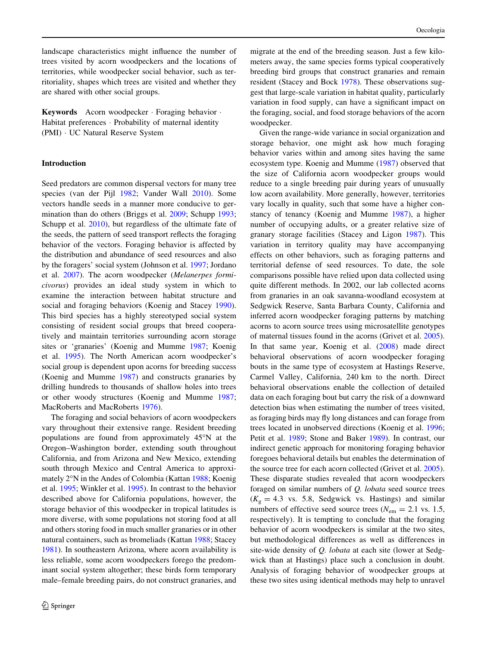landscape characteristics might influence the number of trees visited by acorn woodpeckers and the locations of territories, while woodpecker social behavior, such as territoriality, shapes which trees are visited and whether they are shared with other social groups.

Keywords Acorn woodpecker - Foraging behavior - Habitat preferences - Probability of maternal identity (PMI) - UC Natural Reserve System

## Introduction

Seed predators are common dispersal vectors for many tree species (van der Pijl [1982;](#page-9-0) Vander Wall [2010](#page-9-0)). Some vectors handle seeds in a manner more conducive to germination than do others (Briggs et al. [2009](#page-9-0); Schupp [1993](#page-9-0); Schupp et al. [2010\)](#page-9-0), but regardless of the ultimate fate of the seeds, the pattern of seed transport reflects the foraging behavior of the vectors. Foraging behavior is affected by the distribution and abundance of seed resources and also by the foragers' social system (Johnson et al. [1997](#page-9-0); Jordano et al. [2007\)](#page-9-0). The acorn woodpecker (Melanerpes formicivorus) provides an ideal study system in which to examine the interaction between habitat structure and social and foraging behaviors (Koenig and Stacey [1990](#page-9-0)). This bird species has a highly stereotyped social system consisting of resident social groups that breed cooperatively and maintain territories surrounding acorn storage sites or 'granaries' (Koenig and Mumme [1987;](#page-9-0) Koenig et al. [1995](#page-9-0)). The North American acorn woodpecker's social group is dependent upon acorns for breeding success (Koenig and Mumme [1987\)](#page-9-0) and constructs granaries by drilling hundreds to thousands of shallow holes into trees or other woody structures (Koenig and Mumme [1987](#page-9-0); MacRoberts and MacRoberts [1976](#page-9-0)).

The foraging and social behaviors of acorn woodpeckers vary throughout their extensive range. Resident breeding populations are found from approximately  $45^{\circ}$ N at the Oregon–Washington border, extending south throughout California, and from Arizona and New Mexico, extending south through Mexico and Central America to approxi-mately 2°N in the Andes of Colombia (Kattan [1988;](#page-9-0) Koenig et al. [1995](#page-9-0); Winkler et al. [1995\)](#page-9-0). In contrast to the behavior described above for California populations, however, the storage behavior of this woodpecker in tropical latitudes is more diverse, with some populations not storing food at all and others storing food in much smaller granaries or in other natural containers, such as bromeliads (Kattan [1988](#page-9-0); Stacey [1981\)](#page-9-0). In southeastern Arizona, where acorn availability is less reliable, some acorn woodpeckers forego the predominant social system altogether; these birds form temporary male–female breeding pairs, do not construct granaries, and migrate at the end of the breeding season. Just a few kilometers away, the same species forms typical cooperatively breeding bird groups that construct granaries and remain resident (Stacey and Bock [1978\)](#page-9-0). These observations suggest that large-scale variation in habitat quality, particularly variation in food supply, can have a significant impact on the foraging, social, and food storage behaviors of the acorn woodpecker.

Given the range-wide variance in social organization and storage behavior, one might ask how much foraging behavior varies within and among sites having the same ecosystem type. Koenig and Mumme ([1987\)](#page-9-0) observed that the size of California acorn woodpecker groups would reduce to a single breeding pair during years of unusually low acorn availability. More generally, however, territories vary locally in quality, such that some have a higher constancy of tenancy (Koenig and Mumme [1987](#page-9-0)), a higher number of occupying adults, or a greater relative size of granary storage facilities (Stacey and Ligon [1987](#page-9-0)). This variation in territory quality may have accompanying effects on other behaviors, such as foraging patterns and territorial defense of seed resources. To date, the sole comparisons possible have relied upon data collected using quite different methods. In 2002, our lab collected acorns from granaries in an oak savanna-woodland ecosystem at Sedgwick Reserve, Santa Barbara County, California and inferred acorn woodpecker foraging patterns by matching acorns to acorn source trees using microsatellite genotypes of maternal tissues found in the acorns (Grivet et al. [2005](#page-9-0)). In that same year, Koenig et al. ([2008\)](#page-9-0) made direct behavioral observations of acorn woodpecker foraging bouts in the same type of ecosystem at Hastings Reserve, Carmel Valley, California, 240 km to the north. Direct behavioral observations enable the collection of detailed data on each foraging bout but carry the risk of a downward detection bias when estimating the number of trees visited, as foraging birds may fly long distances and can forage from trees located in unobserved directions (Koenig et al. [1996](#page-9-0); Petit et al. [1989;](#page-9-0) Stone and Baker [1989](#page-9-0)). In contrast, our indirect genetic approach for monitoring foraging behavior foregoes behavioral details but enables the determination of the source tree for each acorn collected (Grivet et al. [2005](#page-9-0)). These disparate studies revealed that acorn woodpeckers foraged on similar numbers of Q. lobata seed source trees  $(K<sub>g</sub> = 4.3$  vs. 5.8, Sedgwick vs. Hastings) and similar numbers of effective seed source trees ( $N_{\text{em}} = 2.1$  vs. 1.5, respectively). It is tempting to conclude that the foraging behavior of acorn woodpeckers is similar at the two sites, but methodological differences as well as differences in site-wide density of Q. lobata at each site (lower at Sedgwick than at Hastings) place such a conclusion in doubt. Analysis of foraging behavior of woodpecker groups at these two sites using identical methods may help to unravel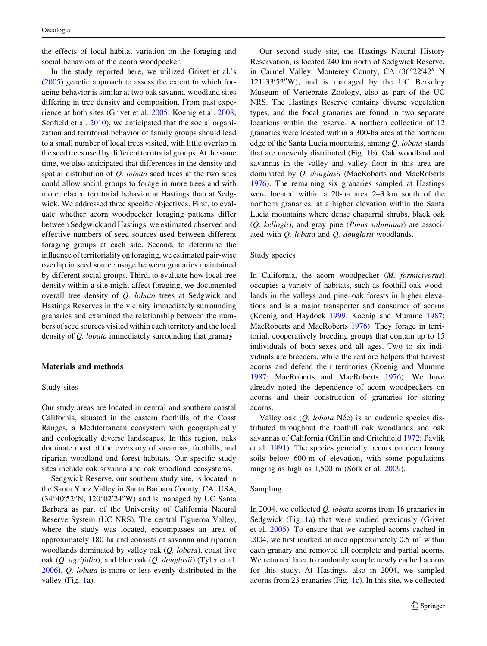the effects of local habitat variation on the foraging and social behaviors of the acorn woodpecker.

In the study reported here, we utilized Grivet et al.'s [\(2005](#page-9-0)) genetic approach to assess the extent to which foraging behavior is similar at two oak savanna-woodland sites differing in tree density and composition. From past experience at both sites (Grivet et al. [2005](#page-9-0); Koenig et al. [2008](#page-9-0); Scofield et al. [2010\)](#page-9-0), we anticipated that the social organization and territorial behavior of family groups should lead to a small number of local trees visited, with little overlap in the seed trees used by different territorial groups. At the same time, we also anticipated that differences in the density and spatial distribution of  $Q$ . *lobata* seed trees at the two sites could allow social groups to forage in more trees and with more relaxed territorial behavior at Hastings than at Sedgwick. We addressed three specific objectives. First, to evaluate whether acorn woodpecker foraging patterns differ between Sedgwick and Hastings, we estimated observed and effective numbers of seed sources used between different foraging groups at each site. Second, to determine the influence of territoriality on foraging, we estimated pair-wise overlap in seed source usage between granaries maintained by different social groups. Third, to evaluate how local tree density within a site might affect foraging, we documented overall tree density of Q. lobata trees at Sedgwick and Hastings Reserves in the vicinity immediately surrounding granaries and examined the relationship between the numbers of seed sources visited within each territory and the local density of Q. lobata immediately surrounding that granary.

# Materials and methods

# Study sites

Our study areas are located in central and southern coastal California, situated in the eastern foothills of the Coast Ranges, a Mediterranean ecosystem with geographically and ecologically diverse landscapes. In this region, oaks dominate most of the overstory of savannas, foothills, and riparian woodland and forest habitats. Our specific study sites include oak savanna and oak woodland ecosystems.

Sedgwick Reserve, our southern study site, is located in the Santa Ynez Valley in Santa Barbara County, CA, USA,  $(34°40'52''N, 120°02'24''W)$  and is managed by UC Santa Barbara as part of the University of California Natural Reserve System (UC NRS). The central Figueroa Valley, where the study was located, encompasses an area of approximately 180 ha and consists of savanna and riparian woodlands dominated by valley oak (Q. lobata), coast live oak  $(Q.$  agrifolia), and blue oak  $(Q.$  douglasii) (Tyler et al. [2006\)](#page-9-0). Q. lobata is more or less evenly distributed in the valley (Fig. [1](#page-3-0)a).

Our second study site, the Hastings Natural History Reservation, is located 240 km north of Sedgwick Reserve, in Carmel Valley, Monterey County, CA (36°22'42" N 121°33'52"W), and is managed by the UC Berkeley Museum of Vertebrate Zoology, also as part of the UC NRS. The Hastings Reserve contains diverse vegetation types, and the focal granaries are found in two separate locations within the reserve. A northern collection of 12 granaries were located within a 300-ha area at the northern edge of the Santa Lucia mountains, among Q. lobata stands that are unevenly distributed (Fig. [1](#page-3-0)b). Oak woodland and savannas in the valley and valley floor in this area are dominated by Q. douglasii (MacRoberts and MacRoberts [1976](#page-9-0)). The remaining six granaries sampled at Hastings were located within a 20-ha area 2–3 km south of the northern granaries, at a higher elevation within the Santa Lucia mountains where dense chaparral shrubs, black oak (Q. kellogii), and gray pine (Pinus sabiniana) are associated with Q. lobata and Q. douglasii woodlands.

#### Study species

In California, the acorn woodpecker (M. formicivorus) occupies a variety of habitats, such as foothill oak woodlands in the valleys and pine–oak forests in higher elevations and is a major transporter and consumer of acorns (Koenig and Haydock [1999;](#page-9-0) Koenig and Mumme [1987](#page-9-0); MacRoberts and MacRoberts [1976](#page-9-0)). They forage in territorial, cooperatively breeding groups that contain up to 15 individuals of both sexes and all ages. Two to six individuals are breeders, while the rest are helpers that harvest acorns and defend their territories (Koenig and Mumme [1987](#page-9-0); MacRoberts and MacRoberts [1976\)](#page-9-0). We have already noted the dependence of acorn woodpeckers on acorns and their construction of granaries for storing acorns.

Valley oak  $(Q. \text{ } lobata \text{ } N\acute{e}e)$  is an endemic species distributed throughout the foothill oak woodlands and oak savannas of California (Griffin and Critchfield [1972](#page-9-0); Pavlik et al. [1991\)](#page-9-0). The species generally occurs on deep loamy soils below 600 m of elevation, with some populations ranging as high as 1,500 m (Sork et al. [2009](#page-9-0)).

# Sampling

In 2004, we collected Q. *lobata* acorns from 16 granaries in Sedgwick (Fig. [1a](#page-3-0)) that were studied previously (Grivet et al. [2005](#page-9-0)). To ensure that we sampled acorns cached in 2004, we first marked an area approximately  $0.5 \text{ m}^2$  within each granary and removed all complete and partial acorns. We returned later to randomly sample newly cached acorns for this study. At Hastings, also in 2004, we sampled acorns from 23 granaries (Fig. [1](#page-3-0)c). In this site, we collected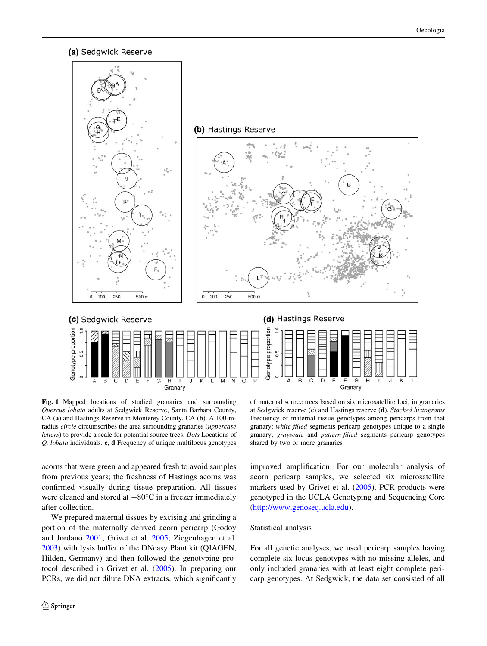## <span id="page-3-0"></span>(a) Sedgwick Reserve



Fig. 1 Mapped locations of studied granaries and surrounding Quercus lobata adults at Sedgwick Reserve, Santa Barbara County, CA (a) and Hastings Reserve in Monterey County, CA (b). A 100-mradius circle circumscribes the area surrounding granaries (uppercase letters) to provide a scale for potential source trees. Dots Locations of Q. lobata individuals. c, d Frequency of unique multilocus genotypes

acorns that were green and appeared fresh to avoid samples from previous years; the freshness of Hastings acorns was confirmed visually during tissue preparation. All tissues were cleaned and stored at  $-80^{\circ}$ C in a freezer immediately after collection.

We prepared maternal tissues by excising and grinding a portion of the maternally derived acorn pericarp (Godoy and Jordano [2001;](#page-9-0) Grivet et al. [2005;](#page-9-0) Ziegenhagen et al. [2003\)](#page-9-0) with lysis buffer of the DNeasy Plant kit (QIAGEN, Hilden, Germany) and then followed the genotyping protocol described in Grivet et al. ([2005\)](#page-9-0). In preparing our PCRs, we did not dilute DNA extracts, which significantly

of maternal source trees based on six microsatellite loci, in granaries at Sedgwick reserve (c) and Hastings reserve (d). Stacked histograms Frequency of maternal tissue genotypes among pericarps from that granary: white-filled segments pericarp genotypes unique to a single granary, grayscale and pattern-filled segments pericarp genotypes shared by two or more granaries

improved amplification. For our molecular analysis of acorn pericarp samples, we selected six microsatellite markers used by Grivet et al. ([2005\)](#page-9-0). PCR products were genotyped in the UCLA Genotyping and Sequencing Core [\(http://www.genoseq.ucla.edu](http://www.genoseq.ucla.edu)).

# Statistical analysis

For all genetic analyses, we used pericarp samples having complete six-locus genotypes with no missing alleles, and only included granaries with at least eight complete pericarp genotypes. At Sedgwick, the data set consisted of all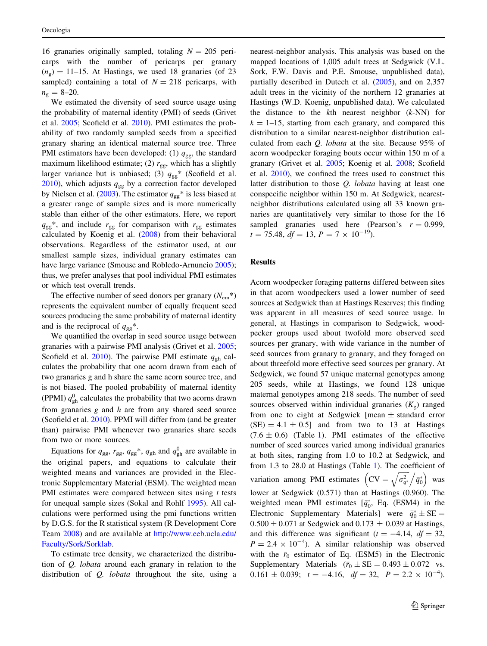16 granaries originally sampled, totaling  $N = 205$  pericarps with the number of pericarps per granary  $(n_{\rm g}) = 11$ –15. At Hastings, we used 18 granaries (of 23 sampled) containing a total of  $N = 218$  pericarps, with  $n_{\rm g} = 8 - 20.$ 

We estimated the diversity of seed source usage using the probability of maternal identity (PMI) of seeds (Grivet et al. [2005;](#page-9-0) Scofield et al. [2010\)](#page-9-0). PMI estimates the probability of two randomly sampled seeds from a specified granary sharing an identical maternal source tree. Three PMI estimators have been developed: (1)  $q_{gg}$ , the standard maximum likelihood estimate; (2)  $r_{gg}$ , which has a slightly larger variance but is unbiased; (3)  $q_{gg}$ <sup>\*</sup> (Scofield et al. [2010\)](#page-9-0), which adjusts  $q_{gg}$  by a correction factor developed by Nielsen et al. ([2003\)](#page-9-0). The estimator  $q_{gg}$ <sup>\*</sup> is less biased at a greater range of sample sizes and is more numerically stable than either of the other estimators. Here, we report  $q_{gg}$ <sup>\*</sup>, and include  $r_{gg}$  for comparison with  $r_{gg}$  estimates calculated by Koenig et al. ([2008\)](#page-9-0) from their behavioral observations. Regardless of the estimator used, at our smallest sample sizes, individual granary estimates can have large variance (Smouse and Robledo-Arnuncio [2005](#page-9-0)); thus, we prefer analyses that pool individual PMI estimates or which test overall trends.

The effective number of seed donors per granary  $(N_{\rm em}^*)$ represents the equivalent number of equally frequent seed sources producing the same probability of maternal identity and is the reciprocal of  $q_{gg}$ <sup>\*</sup>.

We quantified the overlap in seed source usage between granaries with a pairwise PMI analysis (Grivet et al. [2005](#page-9-0); Scofield et al. [2010](#page-9-0)). The pairwise PMI estimate  $q_{gh}$  calculates the probability that one acorn drawn from each of two granaries g and h share the same acorn source tree, and is not biased. The pooled probability of maternal identity (PPMI)  $q_{\text{gh}}^0$  calculates the probability that two acorns drawn from granaries  $g$  and  $h$  are from any shared seed source (Scofield et al. [2010](#page-9-0)). PPMI will differ from (and be greater than) pairwise PMI whenever two granaries share seeds from two or more sources.

Equations for  $q_{gg}$ ,  $r_{gg}$ ,  $q_{gg}$ \*,  $q_{gh}$  and  $q_{gh}^0$  are available in the original papers, and equations to calculate their weighted means and variances are provided in the Electronic Supplementary Material (ESM). The weighted mean PMI estimates were compared between sites using  $t$  tests for unequal sample sizes (Sokal and Rohlf [1995\)](#page-9-0). All calculations were performed using the pmi functions written by D.G.S. for the R statistical system (R Development Core Team [2008](#page-9-0)) and are available at [http://www.eeb.ucla.edu/](http://www.eeb.ucla.edu/Faculty/Sork/Sorklab) [Faculty/Sork/Sorklab.](http://www.eeb.ucla.edu/Faculty/Sork/Sorklab)

To estimate tree density, we characterized the distribution of Q. lobata around each granary in relation to the distribution of *Q. lobata* throughout the site, using a nearest-neighbor analysis. This analysis was based on the mapped locations of 1,005 adult trees at Sedgwick (V.L. Sork, F.W. Davis and P.E. Smouse, unpublished data), partially described in Dutech et al. [\(2005](#page-9-0)), and on 2,357 adult trees in the vicinity of the northern 12 granaries at Hastings (W.D. Koenig, unpublished data). We calculated the distance to the  $k$ th nearest neighbor  $(k-NN)$  for  $k = 1-15$ , starting from each granary, and compared this distribution to a similar nearest-neighbor distribution calculated from each Q. lobata at the site. Because 95% of acorn woodpecker foraging bouts occur within 150 m of a granary (Grivet et al. [2005](#page-9-0); Koenig et al. [2008;](#page-9-0) Scofield et al. [2010](#page-9-0)), we confined the trees used to construct this latter distribution to those Q. lobata having at least one conspecific neighbor within 150 m. At Sedgwick, nearestneighbor distributions calculated using all 33 known granaries are quantitatively very similar to those for the 16 sampled granaries used here (Pearson's  $r = 0.999$ ,  $t = 75.48, df = 13, P = 7 \times 10^{-19}$ .

#### Results

Acorn woodpecker foraging patterns differed between sites in that acorn woodpeckers used a lower number of seed sources at Sedgwick than at Hastings Reserves; this finding was apparent in all measures of seed source usage. In general, at Hastings in comparison to Sedgwick, woodpecker groups used about twofold more observed seed sources per granary, with wide variance in the number of seed sources from granary to granary, and they foraged on about threefold more effective seed sources per granary. At Sedgwick, we found 57 unique maternal genotypes among 205 seeds, while at Hastings, we found 128 unique maternal genotypes among 218 seeds. The number of seed sources observed within individual granaries  $(K_{\varphi})$  ranged from one to eight at Sedgwick [mean  $\pm$  standard error  $(SE) = 4.1 \pm 0.5$  and from two to 13 at Hastings  $(7.6 \pm 0.6)$  (Table [1](#page-5-0)). PMI estimates of the effective number of seed sources varied among individual granaries at both sites, ranging from 1.0 to 10.2 at Sedgwick, and from 1.3 to 28.0 at Hastings (Table [1](#page-5-0)). The coefficient of variation among PMI estimates  $(CV =$  $\sigma_{q^*}^2$  $\sqrt{2}$  $\overline{\left(\text{CV}=\sqrt{\sigma_{q^*}^2}\big/\bar{q}_0^*\right)}$  was lower at Sedgwick (0.571) than at Hastings (0.960). The weighted mean PMI estimates  $[\bar{q}_0^*$ , Eq. (ESM4) in the Electronic Supplementary Materials] were  $\bar{q}_0^* \pm \text{SE} =$  $0.500 \pm 0.071$  at Sedgwick and  $0.173 \pm 0.039$  at Hastings, and this difference was significant ( $t = -4.14$ ,  $df = 32$ ,  $P = 2.4 \times 10^{-4}$ ). A similar relationship was observed with the  $\bar{r}_0$  estimator of Eq. (ESM5) in the Electronic Supplementary Materials  $(\bar{r}_0 \pm \text{SE} = 0.493 \pm 0.072 \text{ vs.})$  $0.161 \pm 0.039$ ;  $t = -4.16$ ,  $df = 32$ ,  $P = 2.2 \times 10^{-4}$ ).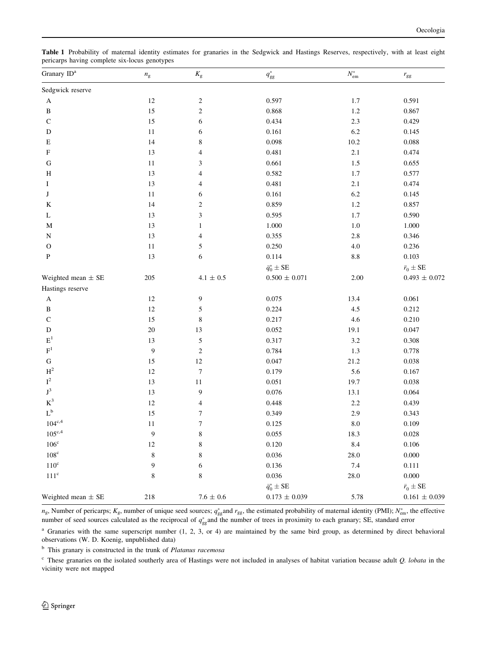<span id="page-5-0"></span>

|                                               |  |  |  |  |  |  | Table 1 Probability of maternal identity estimates for granaries in the Sedgwick and Hastings Reserves, respectively, with at least eight |  |  |
|-----------------------------------------------|--|--|--|--|--|--|-------------------------------------------------------------------------------------------------------------------------------------------|--|--|
| pericarps having complete six-locus genotypes |  |  |  |  |  |  |                                                                                                                                           |  |  |

| Granary ID <sup>a</sup>   | $K_{\rm g}$<br>$n_{\rm g}$ |                          | $q_{\rm gg}^*$              | $N_{\rm em}^*$  | $r_{\rm gg}$                |  |  |
|---------------------------|----------------------------|--------------------------|-----------------------------|-----------------|-----------------------------|--|--|
| Sedgwick reserve          |                            |                          |                             |                 |                             |  |  |
| $\mathbf{A}$              | $12\,$                     | $\sqrt{2}$               | 0.597                       | 1.7             | 0.591                       |  |  |
| $\, {\bf B}$              | $15\,$                     | $\sqrt{2}$               | 0.868                       | 1.2             | 0.867                       |  |  |
| ${\bf C}$                 | 15                         | 6                        | 0.434                       | 2.3             | 0.429                       |  |  |
| $\mathbf D$               | $11\,$                     | 6                        | 0.161                       | 6.2             | 0.145                       |  |  |
| ${\bf E}$                 | 14                         | 8                        | 0.098                       | 10.2            | $\,0.088\,$                 |  |  |
| $\boldsymbol{\mathrm{F}}$ | 13                         | $\overline{4}$           | 0.481                       | $2.1\,$         | 0.474                       |  |  |
| ${\bf G}$                 | $11\,$                     | 3                        | 0.661                       | 1.5             | 0.655                       |  |  |
| H                         | 13                         | $\overline{\mathcal{A}}$ | 0.582                       | 1.7             | 0.577                       |  |  |
| Ι                         | 13                         | 4                        | 0.481                       | $2.1\,$         | 0.474                       |  |  |
| J                         | $11\,$                     | 6                        | 0.161                       | 6.2             | 0.145                       |  |  |
| K                         | 14                         | $\sqrt{2}$               | 0.859                       | 1.2             | 0.857                       |  |  |
| L                         | 13                         | $\mathfrak{Z}$           | 0.595                       | 1.7             | 0.590                       |  |  |
| M                         | 13                         | $\mathbf{1}$             | $1.000\,$                   | $1.0\,$         | 1.000                       |  |  |
| ${\bf N}$                 | 13                         | $\overline{4}$           | 0.355                       | $2.8\,$         | 0.346                       |  |  |
| $\mathbf O$               | $11\,$                     | 5                        | 0.250                       | $4.0\,$         | 0.236                       |  |  |
| $\mathbf{P}$              | 13                         | 6                        | $0.114\,$                   | $\!\!\!\!\!8.8$ | 0.103                       |  |  |
|                           |                            |                          | $\bar{q}_0^* \pm \text{SE}$ |                 | $\bar{r}_0 \pm \mathrm{SE}$ |  |  |
| Weighted mean $\pm$ SE    | 205                        | $4.1\,\pm\,0.5$          | $0.500 \pm 0.071$           | 2.00            | $0.493 \pm 0.072$           |  |  |
| Hastings reserve          |                            |                          |                             |                 |                             |  |  |
| $\mathbf{A}$              | 12                         | 9                        | 0.075                       | 13.4            | 0.061                       |  |  |
| $\, {\bf B}$              | $12\,$                     | 5                        | 0.224                       | 4.5             | 0.212                       |  |  |
| $\mathbf C$               | $15\,$                     | $\,$ 8 $\,$              | 0.217                       | 4.6             | 0.210                       |  |  |
| ${\bf D}$                 | 20                         | 13                       | 0.052                       | 19.1            | 0.047                       |  |  |
| $\mathbf{E}^1$            | 13                         | $\sqrt{5}$               | 0.317                       | 3.2             | 0.308                       |  |  |
| $\mathbf{F}^1$            | 9                          | $\sqrt{2}$               | 0.784                       | 1.3             | 0.778                       |  |  |
| ${\bf G}$                 | 15                         | $12\,$                   | 0.047                       | 21.2            | 0.038                       |  |  |
| $\rm H^2$                 | $12\,$                     | $\boldsymbol{7}$         | 0.179                       | 5.6             | 0.167                       |  |  |
| ${\bf I}^2$               | 13                         | $11\,$                   | 0.051                       | 19.7            | 0.038                       |  |  |
| ${\bf J}^3$               | 13                         | $\overline{9}$           | 0.076                       | 13.1            | 0.064                       |  |  |
| $K^3$                     | $12\,$                     | $\overline{4}$           | 0.448                       | $2.2\,$         | 0.439                       |  |  |
| $\mathbf{L}^\text{b}$     | 15                         | 7                        | 0.349                       | 2.9             | 0.343                       |  |  |
| $104^{c,4}$               | $11\,$                     | $\tau$                   | 0.125                       | 8.0             | 0.109                       |  |  |
| $105^{c,4}$               | $\boldsymbol{9}$           | 8                        | 0.055                       | 18.3            | 0.028                       |  |  |
| $106^{\circ}$             | $12\,$                     | $\,$ 8 $\,$              | 0.120                       | 8.4             | 0.106                       |  |  |
| $108^{\rm c}$             | $\,$ 8 $\,$                | $\,$ 8 $\,$              | 0.036                       | 28.0            | 0.000                       |  |  |
| $110^{\circ}$             | $\mathbf{9}$               | 6                        | 0.136                       | 7.4             | 0.111                       |  |  |
| $111^c$                   | $\,8\,$                    | $\,8\,$                  | 0.036                       | 28.0            | 0.000                       |  |  |
|                           |                            |                          | $\bar{q}_0^* \pm \text{SE}$ |                 | $\bar{r}_0 \pm \text{SE}$   |  |  |
| Weighted mean $\pm$ SE    | $218\,$                    | $7.6\,\pm\,0.6$          | $0.173 \pm 0.039$           | 5.78            | $0.161 \pm 0.039$           |  |  |

 $n_g$ , Number of pericarps;  $K_g$ , number of unique seed sources;  $q_{gg}^*$  and  $r_{gg}$ , the estimated probability of maternal identity (PMI);  $N_{em}^*$ , the effective number of seed sources calculated as the reciprocal of  $q_{gg}^*$  and the number of trees in proximity to each granary; SE, standard error

<sup>a</sup> Granaries with the same superscript number (1, 2, 3, or 4) are maintained by the same bird group, as determined by direct behavioral observations (W. D. Koenig, unpublished data)

<sup>b</sup> This granary is constructed in the trunk of Platanus racemosa

 $c$  These granaries on the isolated southerly area of Hastings were not included in analyses of habitat variation because adult Q. lobata in the vicinity were not mapped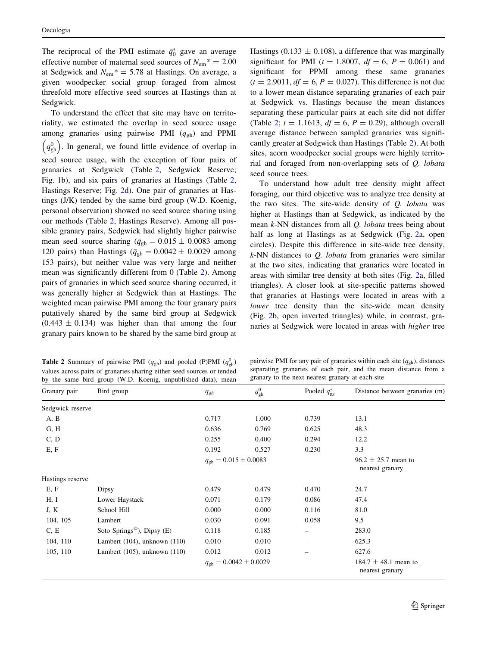<span id="page-6-0"></span>The reciprocal of the PMI estimate  $\bar{q}_0^*$  gave an average effective number of maternal seed sources of  $N_{\rm em}^* = 2.00$ at Sedgwick and  $N_{\rm em}^* = 5.78$  at Hastings. On average, a given woodpecker social group foraged from almost threefold more effective seed sources at Hastings than at Sedgwick.

To understand the effect that site may have on territoriality, we estimated the overlap in seed source usage among granaries using pairwise PMI  $(q_{gh})$  and PPMI  $(q_{gh}^0)$ . In general, we found little evidence of overlap in seed source usage, with the exception of four pairs of granaries at Sedgwick (Table 2, Sedgwick Reserve; Fig. [1](#page-3-0)b), and six pairs of granaries at Hastings (Table 2, Hastings Reserve; Fig. [2d](#page-7-0)). One pair of granaries at Hastings (J/K) tended by the same bird group (W.D. Koenig, personal observation) showed no seed source sharing using our methods (Table 2, Hastings Reserve). Among all possible granary pairs, Sedgwick had slightly higher pairwise mean seed source sharing ( $\bar{q}_{gh} = 0.015 \pm 0.0083$  among 120 pairs) than Hastings ( $\bar{q}_{gh} = 0.0042 \pm 0.0029$  among 153 pairs), but neither value was very large and neither mean was significantly different from 0 (Table 2). Among pairs of granaries in which seed source sharing occurred, it was generally higher at Sedgwick than at Hastings. The weighted mean pairwise PMI among the four granary pairs putatively shared by the same bird group at Sedgwick  $(0.443 \pm 0.134)$  was higher than that among the four granary pairs known to be shared by the same bird group at

**Table 2** Summary of pairwise PMI ( $q_{gh}$ ) and pooled (P)PMI ( $q_{gh}^0$ ) values across pairs of granaries sharing either seed sources or tended by the same bird group (W.D. Koenig, unpublished data), mean

Hastings (0.133  $\pm$  0.108), a difference that was marginally significant for PMI ( $t = 1.8007$ ,  $df = 6$ ,  $P = 0.061$ ) and significant for PPMI among these same granaries  $(t = 2.9011, df = 6, P = 0.027)$ . This difference is not due to a lower mean distance separating granaries of each pair at Sedgwick vs. Hastings because the mean distances separating these particular pairs at each site did not differ (Table 2;  $t = 1.1613$ ,  $df = 6$ ,  $P = 0.29$ ), although overall average distance between sampled granaries was significantly greater at Sedgwick than Hastings (Table 2). At both sites, acorn woodpecker social groups were highly territorial and foraged from non-overlapping sets of Q. lobata seed source trees.

To understand how adult tree density might affect foraging, our third objective was to analyze tree density at the two sites. The site-wide density of  $Q$ . *lobata* was higher at Hastings than at Sedgwick, as indicated by the mean k-NN distances from all Q. lobata trees being about half as long at Hastings as at Sedgwick (Fig. [2a](#page-7-0), open circles). Despite this difference in site-wide tree density,  $k$ -NN distances to  $Q$ . *lobata* from granaries were similar at the two sites, indicating that granaries were located in areas with similar tree density at both sites (Fig. [2](#page-7-0)a, filled triangles). A closer look at site-specific patterns showed that granaries at Hastings were located in areas with a lower tree density than the site-wide mean density (Fig. [2b](#page-7-0), open inverted triangles) while, in contrast, granaries at Sedgwick were located in areas with higher tree

pairwise PMI for any pair of granaries within each site  $(\bar{q}_{gh})$ , distances separating granaries of each pair, and the mean distance from a granary to the next nearest granary at each site

| Granary pair     | Bird group                             | $q_{\rm gh}^0$<br>$q_{gh}$                |       | Pooled $q_{gg}^*$                          | Distance between granaries (m)              |  |  |  |
|------------------|----------------------------------------|-------------------------------------------|-------|--------------------------------------------|---------------------------------------------|--|--|--|
| Sedgwick reserve |                                        |                                           |       |                                            |                                             |  |  |  |
| A, B             |                                        | 0.717                                     | 1.000 | 0.739                                      | 13.1                                        |  |  |  |
| G, H             |                                        | 0.636                                     | 0.769 | 0.625                                      | 48.3                                        |  |  |  |
| C, D             |                                        | 0.255                                     | 0.400 | 0.294                                      | 12.2                                        |  |  |  |
| E, F             |                                        | 0.192                                     | 0.527 | 0.230                                      | 3.3                                         |  |  |  |
|                  |                                        | $\bar{q}_{\text{gh}} = 0.015 \pm 0.0083$  |       | $96.2 \pm 25.7$ mean to<br>nearest granary |                                             |  |  |  |
| Hastings reserve |                                        |                                           |       |                                            |                                             |  |  |  |
| E, F             | Dipsy                                  | 0.479                                     | 0.479 | 0.470                                      | 24.7                                        |  |  |  |
| H, I             | Lower Haystack                         | 0.071                                     | 0.179 | 0.086                                      | 47.4                                        |  |  |  |
| J, K             | School Hill                            | 0.000                                     | 0.000 | 0.116                                      | 81.0                                        |  |  |  |
| 104, 105         | Lambert                                | 0.030                                     | 0.091 | 0.058                                      | 9.5                                         |  |  |  |
| C, E             | Soto Springs <sup>©</sup> ), Dipsy (E) | 0.118                                     | 0.185 |                                            | 283.0                                       |  |  |  |
| 104, 110         | Lambert $(104)$ , unknown $(110)$      | 0.010                                     | 0.010 |                                            | 625.3                                       |  |  |  |
| 105, 110         | Lambert $(105)$ , unknown $(110)$      | 0.012                                     | 0.012 | -                                          | 627.6                                       |  |  |  |
|                  |                                        | $\bar{q}_{\text{gh}} = 0.0042 \pm 0.0029$ |       |                                            | $184.7 \pm 48.1$ mean to<br>nearest granary |  |  |  |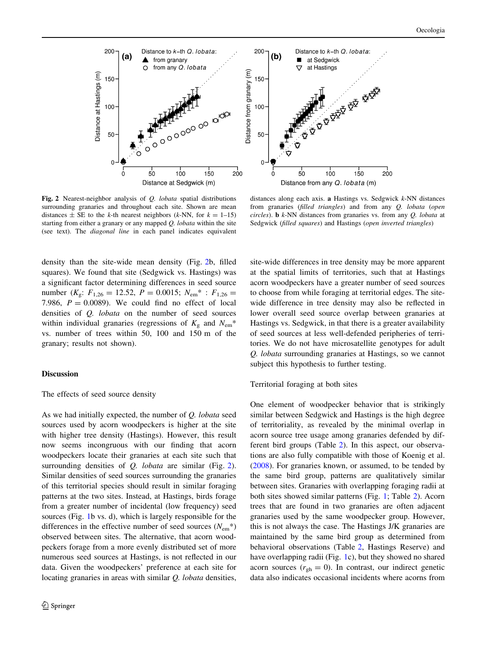<span id="page-7-0"></span>

Fig. 2 Nearest-neighbor analysis of Q. lobata spatial distributions surrounding granaries and throughout each site. Shown are mean distances  $\pm$  SE to the k-th nearest neighbors (k-NN, for  $k = 1$ –15) starting from either a granary or any mapped  $Q$ . *lobata* within the site (see text). The diagonal line in each panel indicates equivalent

distances along each axis. a Hastings vs. Sedgwick k-NN distances from granaries (filled triangles) and from any Q. lobata (open circles). **b**  $k$ -NN distances from granaries vs. from any  $Q$ . *lobata* at Sedgwick (filled squares) and Hastings (open inverted triangles)

density than the site-wide mean density (Fig. 2b, filled squares). We found that site (Sedgwick vs. Hastings) was a significant factor determining differences in seed source number ( $K_g$ :  $F_{1,26} = 12.52$ ,  $P = 0.0015$ ;  $N_{em}$ <sup>\*</sup> :  $F_{1,26} =$ 7.986,  $P = 0.0089$ . We could find no effect of local densities of Q. lobata on the number of seed sources within individual granaries (regressions of  $K<sub>g</sub>$  and  $N<sub>em</sub>$ <sup>\*</sup> vs. number of trees within 50, 100 and 150 m of the granary; results not shown).

## **Discussion**

#### The effects of seed source density

As we had initially expected, the number of Q. lobata seed sources used by acorn woodpeckers is higher at the site with higher tree density (Hastings). However, this result now seems incongruous with our finding that acorn woodpeckers locate their granaries at each site such that surrounding densities of  $Q$ . *lobata* are similar (Fig. 2). Similar densities of seed sources surrounding the granaries of this territorial species should result in similar foraging patterns at the two sites. Instead, at Hastings, birds forage from a greater number of incidental (low frequency) seed sources (Fig. [1](#page-3-0)b vs. d), which is largely responsible for the differences in the effective number of seed sources  $(N_{\rm em}^*)$ observed between sites. The alternative, that acorn woodpeckers forage from a more evenly distributed set of more numerous seed sources at Hastings, is not reflected in our data. Given the woodpeckers' preference at each site for locating granaries in areas with similar Q. *lobata* densities, site-wide differences in tree density may be more apparent at the spatial limits of territories, such that at Hastings acorn woodpeckers have a greater number of seed sources to choose from while foraging at territorial edges. The sitewide difference in tree density may also be reflected in lower overall seed source overlap between granaries at Hastings vs. Sedgwick, in that there is a greater availability of seed sources at less well-defended peripheries of territories. We do not have microsatellite genotypes for adult Q. lobata surrounding granaries at Hastings, so we cannot subject this hypothesis to further testing.

#### Territorial foraging at both sites

One element of woodpecker behavior that is strikingly similar between Sedgwick and Hastings is the high degree of territoriality, as revealed by the minimal overlap in acorn source tree usage among granaries defended by different bird groups (Table [2\)](#page-6-0). In this aspect, our observations are also fully compatible with those of Koenig et al. [\(2008](#page-9-0)). For granaries known, or assumed, to be tended by the same bird group, patterns are qualitatively similar between sites. Granaries with overlapping foraging radii at both sites showed similar patterns (Fig. [1;](#page-3-0) Table [2\)](#page-6-0). Acorn trees that are found in two granaries are often adjacent granaries used by the same woodpecker group. However, this is not always the case. The Hastings J/K granaries are maintained by the same bird group as determined from behavioral observations (Table [2,](#page-6-0) Hastings Reserve) and have overlapping radii (Fig. [1c](#page-3-0)), but they showed no shared acorn sources  $(r_{\rm gh} = 0)$ . In contrast, our indirect genetic data also indicates occasional incidents where acorns from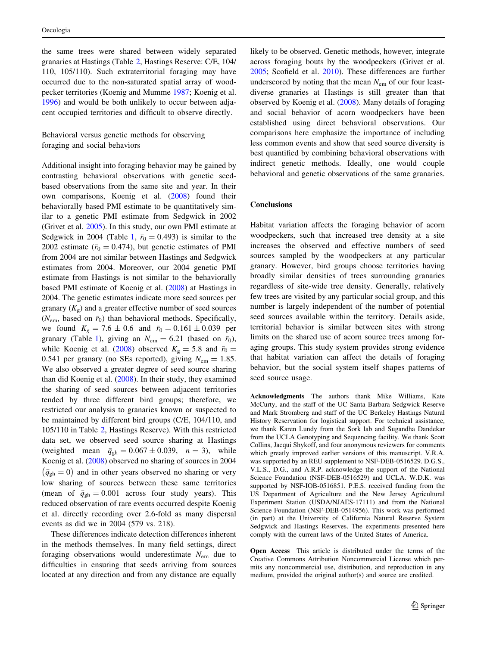the same trees were shared between widely separated granaries at Hastings (Table [2](#page-6-0), Hastings Reserve: C/E, 104/ 110, 105/110). Such extraterritorial foraging may have occurred due to the non-saturated spatial array of woodpecker territories (Koenig and Mumme [1987;](#page-9-0) Koenig et al. [1996\)](#page-9-0) and would be both unlikely to occur between adjacent occupied territories and difficult to observe directly.

Behavioral versus genetic methods for observing foraging and social behaviors

Additional insight into foraging behavior may be gained by contrasting behavioral observations with genetic seedbased observations from the same site and year. In their own comparisons, Koenig et al. ([2008\)](#page-9-0) found their behaviorally based PMI estimate to be quantitatively similar to a genetic PMI estimate from Sedgwick in 2002 (Grivet et al. [2005](#page-9-0)). In this study, our own PMI estimate at Sedgwick in 2004 (Table [1,](#page-5-0)  $\bar{r}_0 = 0.493$ ) is similar to the 2002 estimate ( $\bar{r}_0 = 0.474$ ), but genetic estimates of PMI from 2004 are not similar between Hastings and Sedgwick estimates from 2004. Moreover, our 2004 genetic PMI estimate from Hastings is not similar to the behaviorally based PMI estimate of Koenig et al. ([2008\)](#page-9-0) at Hastings in 2004. The genetic estimates indicate more seed sources per granary  $(K_{\sigma})$  and a greater effective number of seed sources ( $N_{\text{em}}$ , based on  $\bar{r}_0$ ) than behavioral methods. Specifically, we found  $K_g = 7.6 \pm 0.6$  and  $\bar{r}_0 = 0.161 \pm 0.039$  per granary (Table [1](#page-5-0)), giving an  $N_{\text{em}} = 6.21$  (based on  $\bar{r}_0$ ), while Koenig et al. [\(2008](#page-9-0)) observed  $K<sub>g</sub> = 5.8$  and  $\bar{r}_0 =$ 0.541 per granary (no SEs reported), giving  $N_{\text{em}} = 1.85$ . We also observed a greater degree of seed source sharing than did Koenig et al. ([2008\)](#page-9-0). In their study, they examined the sharing of seed sources between adjacent territories tended by three different bird groups; therefore, we restricted our analysis to granaries known or suspected to be maintained by different bird groups (C/E, 104/110, and 105/110 in Table [2](#page-6-0), Hastings Reserve). With this restricted data set, we observed seed source sharing at Hastings (weighted mean  $\bar{q}_{gh} = 0.067 \pm 0.039$ ,  $n = 3$ ), while Koenig et al. ([2008\)](#page-9-0) observed no sharing of sources in 2004  $(\bar{q}_{gh} = 0)$  and in other years observed no sharing or very low sharing of sources between these same territories (mean of  $\bar{q}_{gh} = 0.001$  across four study years). This reduced observation of rare events occurred despite Koenig et al. directly recording over 2.6-fold as many dispersal events as did we in 2004 (579 vs. 218).

These differences indicate detection differences inherent in the methods themselves. In many field settings, direct foraging observations would underestimate  $N_{\text{em}}$  due to difficulties in ensuring that seeds arriving from sources located at any direction and from any distance are equally

likely to be observed. Genetic methods, however, integrate across foraging bouts by the woodpeckers (Grivet et al. [2005](#page-9-0); Scofield et al. [2010\)](#page-9-0). These differences are further underscored by noting that the mean  $N_{\rm em}$  of our four leastdiverse granaries at Hastings is still greater than that observed by Koenig et al. ([2008\)](#page-9-0). Many details of foraging and social behavior of acorn woodpeckers have been established using direct behavioral observations. Our comparisons here emphasize the importance of including less common events and show that seed source diversity is best quantified by combining behavioral observations with indirect genetic methods. Ideally, one would couple behavioral and genetic observations of the same granaries.

# **Conclusions**

Habitat variation affects the foraging behavior of acorn woodpeckers, such that increased tree density at a site increases the observed and effective numbers of seed sources sampled by the woodpeckers at any particular granary. However, bird groups choose territories having broadly similar densities of trees surrounding granaries regardless of site-wide tree density. Generally, relatively few trees are visited by any particular social group, and this number is largely independent of the number of potential seed sources available within the territory. Details aside, territorial behavior is similar between sites with strong limits on the shared use of acorn source trees among foraging groups. This study system provides strong evidence that habitat variation can affect the details of foraging behavior, but the social system itself shapes patterns of seed source usage.

Acknowledgments The authors thank Mike Williams, Kate McCurty, and the staff of the UC Santa Barbara Sedgwick Reserve and Mark Stromberg and staff of the UC Berkeley Hastings Natural History Reservation for logistical support. For technical assistance, we thank Karen Lundy from the Sork lab and Sugandha Dandekar from the UCLA Genotyping and Sequencing facility. We thank Scott Collins, Jacqui Shykoff, and four anonymous reviewers for comments which greatly improved earlier versions of this manuscript. V.R.A. was supported by an REU supplement to NSF-DEB-0516529. D.G.S., V.L.S., D.G., and A.R.P. acknowledge the support of the National Science Foundation (NSF-DEB-0516529) and UCLA. W.D.K. was supported by NSF-IOB-0516851. P.E.S. received funding from the US Department of Agriculture and the New Jersey Agricultural Experiment Station (USDA/NJAES-17111) and from the National Science Foundation (NSF-DEB-0514956). This work was performed (in part) at the University of California Natural Reserve System Sedgwick and Hastings Reserves. The experiments presented here comply with the current laws of the United States of America.

Open Access This article is distributed under the terms of the Creative Commons Attribution Noncommercial License which permits any noncommercial use, distribution, and reproduction in any medium, provided the original author(s) and source are credited.